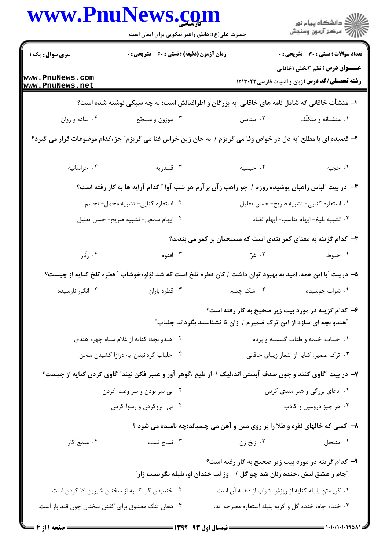|                                                                                               | www.PnuNews.com<br>حضرت علی(ع): دانش راهبر نیکویی برای ایمان است                                               |                                          | ڪ دانشڪاه پيام نور<br>پ <sup>ر</sup> مرڪز آزمون وسنڊش                                           |  |  |
|-----------------------------------------------------------------------------------------------|----------------------------------------------------------------------------------------------------------------|------------------------------------------|-------------------------------------------------------------------------------------------------|--|--|
| سری سوال: یک ۱                                                                                | زمان آزمون (دقیقه) : تستی : 60 ٪ تشریحی : 0                                                                    |                                          | تعداد سوالات : تستي : 30 - تشريحي : 0                                                           |  |  |
| www.PnuNews.com<br>www.PnuNews.net                                                            |                                                                                                                |                                          | <b>عنـــوان درس:</b> نظم ۳بخش ۱خاقانی<br><b>رشته تحصیلی/کد درس:</b> زبان و ادبیات فارسی ۱۲۱۳۰۲۳ |  |  |
| ۱– منشأت خاقانی که شامل نامه های خاقانی ًبه بزرگان و اطرافیانش است؛ به چه سبکی نوشته شده است؟ |                                                                                                                |                                          |                                                                                                 |  |  |
| ۰۴ ساده و روان                                                                                | ۰۳ موزون و مسجّع                                                                                               | ۰۲ بینابین                               | ۰۱ منشیانه و متکلّف                                                                             |  |  |
|                                                                                               | ۲- قصیده ای با مطلع آبه دل در خواص وفا می گریزم / به جان زین خراس فنا می گریزم ّ جزءکدام موضوعات قرار می گیرد؟ |                                          |                                                                                                 |  |  |
| ۰۴ خراسانيه                                                                                   | ۰۳ قلندريه                                                                                                     | ۰۲ حبسیّه                                | ۰۱ حجیّه                                                                                        |  |  |
|                                                                                               | ۳- در بیت آلباس راهبان پوشیده روزم / چو راهب ز آن بر آرم هر شب آوا آ کدام آرایه ها به کار رفته است؟            |                                          |                                                                                                 |  |  |
|                                                                                               | ٠٢ استعاره كنايى- تشبيه مجمل- تجسم                                                                             |                                          | ٠١ استعاره كنايي- تشبيه صريح- حسن تعليل                                                         |  |  |
|                                                                                               | ۰۴ ایهام سمعی- تشبیه صریح- حسن تعلیل                                                                           |                                          | ۰۳ تشبیه بلیغ-ایهام تناسب-ایهام تضاد                                                            |  |  |
|                                                                                               |                                                                                                                |                                          | ۴- کدام گزینه به معنای کمر بندی است که مسیحیان بر کمر می بندند؟                                 |  |  |
| ۰۴ زنار                                                                                       | ۰۳ اقنوم                                                                                                       | ۲. غرا                                   | ۰۱ حنوط                                                                                         |  |  |
|                                                                                               | ۵– دربیت ″با این همه، امید به بهبود توان داشت / کان قطره تلخ است که شد لؤلوءخوشاب ″ قطره تلخ کنایه از چیست؟    |                                          |                                                                                                 |  |  |
| ۰۴ انگور نارسیده                                                                              | ۰۳ قطره باران                                                                                                  | ۰۲ اشک چشم                               | ۰۱ شراب جوشیده                                                                                  |  |  |
|                                                                                               | آهندو بچه ای سازد از این ترک ضمیرم / زان تا نشناسند بگرداند جلباب ؒ                                            |                                          | ۶- کدام گزینه در مورد بیت زیر صحیح به کار رفته است؟                                             |  |  |
| ۰۲ هندو بچه: کنایه از غلام سیاه چهره هندی                                                     |                                                                                                                |                                          | ۰۱ جلباب: خیمه و طناب گسسته و پرده                                                              |  |  |
| ۰۴ جلباب گردانیدن: به درازا کشیدن سخن                                                         |                                                                                                                | ۰۳ ترک ضمیر: کنایه از اشعار زیبای خاقانی |                                                                                                 |  |  |
|                                                                                               | ۷– در بیت ″گاوی کنند و چون صدف آبستن اند،لیک / از طبع ،گوهر آور و عنبر فکن نیند″ گاوی کردن کنایه از چیست؟      |                                          |                                                                                                 |  |  |
|                                                                                               | ۰۲ بی سر بودن و سر وصدا کردن                                                                                   |                                          | ۰۱ ادعای بزرگی و هنر مندی کردن                                                                  |  |  |
|                                                                                               | ۰۴ بی آبروکردن و رسوا کردن                                                                                     |                                          | ۰۳ هر چيز دروغين و كاذب                                                                         |  |  |
|                                                                                               | ۸- کسی که خالهای نقره و طلا را بر روی مس و آهن می چسباند؛چه نامیده می شود ؟                                    |                                          |                                                                                                 |  |  |
| ۰۴ ملمع کار                                                                                   | ۰۳ نساج نسب                                                                                                    | ۰۲ زنخ زن                                | ۰۱ منتحل                                                                                        |  |  |
|                                                                                               | <sup>"</sup> جام ز عشق لبش ،خنده زنان شد چو گل / ۔ وز لب خندان او، بلبله بگریست زار ؒ                          |                                          | ۹- کدام گزینه در مورد بیت زیر صحیح به کار رفته است؟                                             |  |  |
| ۰۲ خندیدن گل کنایه از سخنان شیرین ادا کردن است.                                               |                                                                                                                |                                          | ٠١ گريستن بلبله كنايه از ريزش شراب از دهانه آن است.                                             |  |  |
| ۰۴ دهان تنگ معشوق برای گفتن سخنان چون قند باز است.                                            |                                                                                                                |                                          | ۰۳ خنده جام، خنده گل و گريه بلبله استعاره مصرحه اند.                                            |  |  |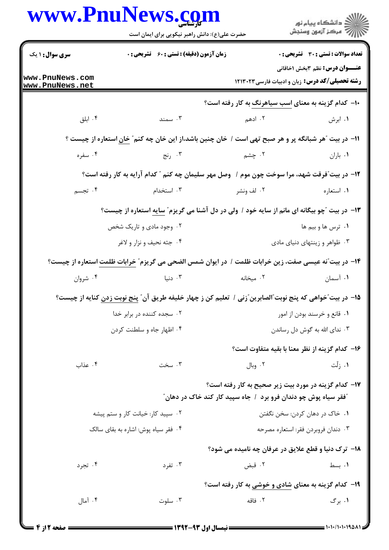| سری سوال: ۱ یک<br><b>زمان آزمون (دقیقه) : تستی : 60 ٪ تشریحی : 0</b><br>تعداد سوالات : تستى : 30 ٪ تشريحي : 0<br><b>عنـــوان درس:</b> نظم ۳بخش ۱خاقانی<br>www.PnuNews.com<br><b>رشته تحصیلی/کد درس:</b> زبان و ادبیات فارسی ۱۲۱۳۰۲۳<br>www.PnuNews.net<br>۱۰– کدام گزینه به معنای اسب سیاهرنگ به کار رفته است؟<br>۰۴ ابلق<br>۰۳ سمند<br>۲. ادهم<br>۰۱ ابرش<br>1۱– در بیت آهر شبانگه پر و هر صبح تهی است / خان چنین باشد،از این خان چه کنم ؒ خان استعاره از چیست ؟<br>۰۴ سفره<br>۰۳ رنج<br>۲. چشم<br>۰۱ باران<br>۱۲- در بیت ؒفرقت شهد، مرا سوخت چون موم / وصل مهر سلیمان چه کنم ؒ کدام آرایه به کار رفته است؟<br>۰۴ تجسم<br>۰۳ استخدام<br>١. استعاره<br>۲. لف ونشر<br>۱۳- در بیت آچو بیگانه ای مانم از سایه خود / ولی در دل آشنا می گریزم ّ سایه استعاره از چیست؟<br>۰۲ وجود مادی و تاریک شخص<br>۰۱ ترس ها و بیم ها<br>۰۴ جثه نحيف و نزار و لاغر<br>۰۳ ظواهر و زینتهای دنیای مادی<br>۱۴– در بیت ّنه عیسی صفت، زین خرابات ظلمت / در ایوان شمس الضحی می گریزم <i>" خ</i> رابات ظلمت استعاره از چیست؟ |                              |  |
|---------------------------------------------------------------------------------------------------------------------------------------------------------------------------------------------------------------------------------------------------------------------------------------------------------------------------------------------------------------------------------------------------------------------------------------------------------------------------------------------------------------------------------------------------------------------------------------------------------------------------------------------------------------------------------------------------------------------------------------------------------------------------------------------------------------------------------------------------------------------------------------------------------------------------------------------------------------------------------------------------|------------------------------|--|
|                                                                                                                                                                                                                                                                                                                                                                                                                                                                                                                                                                                                                                                                                                                                                                                                                                                                                                                                                                                                   |                              |  |
|                                                                                                                                                                                                                                                                                                                                                                                                                                                                                                                                                                                                                                                                                                                                                                                                                                                                                                                                                                                                   |                              |  |
|                                                                                                                                                                                                                                                                                                                                                                                                                                                                                                                                                                                                                                                                                                                                                                                                                                                                                                                                                                                                   |                              |  |
|                                                                                                                                                                                                                                                                                                                                                                                                                                                                                                                                                                                                                                                                                                                                                                                                                                                                                                                                                                                                   |                              |  |
|                                                                                                                                                                                                                                                                                                                                                                                                                                                                                                                                                                                                                                                                                                                                                                                                                                                                                                                                                                                                   |                              |  |
|                                                                                                                                                                                                                                                                                                                                                                                                                                                                                                                                                                                                                                                                                                                                                                                                                                                                                                                                                                                                   |                              |  |
|                                                                                                                                                                                                                                                                                                                                                                                                                                                                                                                                                                                                                                                                                                                                                                                                                                                                                                                                                                                                   |                              |  |
|                                                                                                                                                                                                                                                                                                                                                                                                                                                                                                                                                                                                                                                                                                                                                                                                                                                                                                                                                                                                   |                              |  |
|                                                                                                                                                                                                                                                                                                                                                                                                                                                                                                                                                                                                                                                                                                                                                                                                                                                                                                                                                                                                   |                              |  |
|                                                                                                                                                                                                                                                                                                                                                                                                                                                                                                                                                                                                                                                                                                                                                                                                                                                                                                                                                                                                   |                              |  |
|                                                                                                                                                                                                                                                                                                                                                                                                                                                                                                                                                                                                                                                                                                                                                                                                                                                                                                                                                                                                   |                              |  |
|                                                                                                                                                                                                                                                                                                                                                                                                                                                                                                                                                                                                                                                                                                                                                                                                                                                                                                                                                                                                   |                              |  |
| ۰۴ شروان<br>۰۳ دنیا<br>۰۱ آسمان<br>۰۲ میخانه                                                                                                                                                                                                                                                                                                                                                                                                                                                                                                                                                                                                                                                                                                                                                                                                                                                                                                                                                      |                              |  |
| ۱۵− در بیت″خواهی که پنج نوبت″الصابرین″زنی /  تعلیم کن ز چهار خلیفه طریق آن″ پنج نوبت <u>زدن</u> کنایه از چیست؟                                                                                                                                                                                                                                                                                                                                                                                                                                                                                                                                                                                                                                                                                                                                                                                                                                                                                    |                              |  |
| ۰۲ سجده کننده در برابر خدا                                                                                                                                                                                                                                                                                                                                                                                                                                                                                                                                                                                                                                                                                                                                                                                                                                                                                                                                                                        | ۰۱ قانع و خرسند بودن از امور |  |
| ۰۴ اظهار جاه و سلطنت کردن<br>۰۳ ندای الله به گوش دل رساندن                                                                                                                                                                                                                                                                                                                                                                                                                                                                                                                                                                                                                                                                                                                                                                                                                                                                                                                                        |                              |  |
| ۱۶– کدام گزینه از نظر معنا با بقیه متفاوت است؟                                                                                                                                                                                                                                                                                                                                                                                                                                                                                                                                                                                                                                                                                                                                                                                                                                                                                                                                                    |                              |  |
| ۰۳ سخت<br>۰۱ زلّت<br>۰۴ عذاب<br>۰۲ وبال                                                                                                                                                                                                                                                                                                                                                                                                                                                                                                                                                                                                                                                                                                                                                                                                                                                                                                                                                           |                              |  |
| <b>۱۷</b> – کدام گزینه در مورد بیت زیر صحیح به کار رفته است؟<br><i>"</i> فقر سیاه پوش چو دندان فرو برد ۱ جاه سپید کار کند خاک در دهان                                                                                                                                                                                                                                                                                                                                                                                                                                                                                                                                                                                                                                                                                                                                                                                                                                                             |                              |  |
| ۰۱ خاک در دهان کردن: سخن نگفتن<br>۰۲ سپید کار: خیانت کار و ستم پیشه                                                                                                                                                                                                                                                                                                                                                                                                                                                                                                                                                                                                                                                                                                                                                                                                                                                                                                                               |                              |  |
| ۰۴ فقر سياه پوش: اشاره به بقای سالک<br>۰۳ دندان فروبردن فقر: استعاره مصرحه                                                                                                                                                                                                                                                                                                                                                                                                                                                                                                                                                                                                                                                                                                                                                                                                                                                                                                                        |                              |  |
| 18- ترک دنیا و قطع علایق در عرفان چه نامیده می شود؟                                                                                                                                                                                                                                                                                                                                                                                                                                                                                                                                                                                                                                                                                                                                                                                                                                                                                                                                               |                              |  |
| ۰۴ تجرد<br>۰۳ تفرد<br>۰۲ قبض<br>۰۱ بسط                                                                                                                                                                                                                                                                                                                                                                                                                                                                                                                                                                                                                                                                                                                                                                                                                                                                                                                                                            |                              |  |
| ۱۹- کدام گزینه به معنای شادی و خوشی به کار رفته است؟                                                                                                                                                                                                                                                                                                                                                                                                                                                                                                                                                                                                                                                                                                                                                                                                                                                                                                                                              |                              |  |
| ۰۱ برگ<br>۰۴ آمال<br>۰۲ فاقه<br>۰۳ سلوت                                                                                                                                                                                                                                                                                                                                                                                                                                                                                                                                                                                                                                                                                                                                                                                                                                                                                                                                                           |                              |  |
|                                                                                                                                                                                                                                                                                                                                                                                                                                                                                                                                                                                                                                                                                                                                                                                                                                                                                                                                                                                                   |                              |  |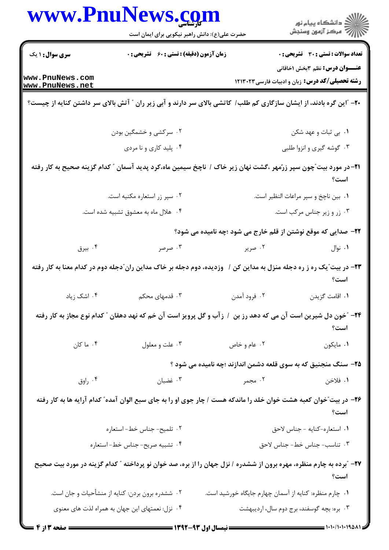|                                    | www.PnuNews.com                                    |                                                                                                                     | الا دانشگاه پيام نور<br>الا مرکز آزمون وسنجش                                                    |  |
|------------------------------------|----------------------------------------------------|---------------------------------------------------------------------------------------------------------------------|-------------------------------------------------------------------------------------------------|--|
|                                    | حضرت علی(ع): دانش راهبر نیکویی برای ایمان است      |                                                                                                                     |                                                                                                 |  |
| <b>سری سوال : ۱ یک</b>             | <b>زمان آزمون (دقیقه) : تستی : 60 ٪ تشریحی : 0</b> |                                                                                                                     | تعداد سوالات : تستي : 30 ٪ تشريحي : 0                                                           |  |
| www.PnuNews.com<br>www.PnuNews.net |                                                    |                                                                                                                     | <b>عنـــوان درس:</b> نظم ۳بخش ۱خاقانی<br><b>رشته تحصیلی/کد درس:</b> زبان و ادبیات فارسی ۱۲۱۳۰۲۳ |  |
|                                    |                                                    | +۲- "این گره بادند، از ایشان سازگاری کم طلب/ کاتشی بالای سر دارند و آبی زیر ران ″ آتش بالای سر داشتن کنایه از چیست؟ |                                                                                                 |  |
|                                    | ۰۲ سرکشی و خشمگین بودن                             |                                                                                                                     | ۰۱ بی ثبات و عهد شکن                                                                            |  |
|                                    | ۰۴ پلید کاری و نا مردی                             |                                                                                                                     | ۰۳ گوشه گیری و انزوا طلبی                                                                       |  |
|                                    |                                                    | ۲۱–در مورد بیت ّچون سپر زرّمهر ،گشت نهان زیر خاک / ناچخ سیمین ماه،کرد پدید آسمان ″ کدام گزینه صحیح به کار رفته      | است؟                                                                                            |  |
|                                    | ۰۲ سپر زر استعاره مکنیه است.                       |                                                                                                                     | ۰۱ بین ناچخ و سپر مراعات النظیر است.                                                            |  |
|                                    | ۰۴ هلال ماه به معشوق تشبیه شده است.                |                                                                                                                     | ۰۳ زر و زیر جناس مرکب است.                                                                      |  |
|                                    |                                                    | ۲۲- صدایی که موقع نوشتن از قلم خارج می شود ؛چه نامیده می شود؟                                                       |                                                                                                 |  |
| ۰۴ بیرق                            | ۰۳ صرصر                                            | ۰۲ صریر                                                                                                             | ۰۱ نوال                                                                                         |  |
|                                    |                                                    | ۲۳– در بیت ّیک ره ز ره دجله منزل به مداین کن / وزدیده، دوم دجله بر خاک مداین ران ّدجله دوم در کدام معنا به کار رفته | است؟                                                                                            |  |
| ۰۴ اشک زیاد                        | ۰۳ قدمهای محکم                                     | ۲. فرود آمدن                                                                                                        | ۰۱ اقامت گزیدن                                                                                  |  |
|                                    |                                                    | ۲۴- ″خون دل شیرین است آن می که دهد رز بن ∣ زآب و گل پرویز است آن خم که نهد دهقان ″ کدام نوع مجاز به کار رفته        | است؟                                                                                            |  |
| ۰۴ ما کان                          | ۰۳ علت و معلول                                     | ۰۲ عام و خاص                                                                                                        | ٠١ مايكون                                                                                       |  |
|                                    |                                                    | ۲۵- سنگ منجنیق که به سوی قلعه دشمن اندازند ؛چه نامیده می شود ؟                                                      |                                                                                                 |  |
| ۰۴ راوق                            | ت غضبان $\cdot$                                    | ۰۲ مجمر                                                                                                             | ١. فلاخن                                                                                        |  |
|                                    |                                                    | ۲۶– در بیت ّخوان کعبه هشت خوان خلد را ماندکه هست / چار جوی او را به جای سبع الوان آمده ّ کدام آرایه ها به کار رفته  | است؟                                                                                            |  |
|                                    | ٠٢ تلميح- جناس خط- استعاره                         |                                                                                                                     | ٠١ استعاره-كنايه - جناس لاحق                                                                    |  |
|                                    | ۰۴ تشبیه صریح- جناس خط-استعاره                     |                                                                                                                     | ۰۳ تناسب- جناس خط- جناس لاحق                                                                    |  |
|                                    |                                                    | ۲۷– "برده به چارم منظره، مهره برون از ششدره / نزل جهان را از بره، صد خوان نو پرداخته " کدام گزینه در مورد بیت صحیح  | است؟                                                                                            |  |
|                                    | ۰۲ ششدره برون بردن: کنایه از منشأحیات و جان است.   | ۰۱ چارم منظره: کنایه از آسمان چهارم جایگاه خورشید است.                                                              |                                                                                                 |  |
|                                    | ۰۴ نزل: نعمتهای این جهان به همراه لذت های معنوی    |                                                                                                                     | ۰۳ بره: بچه گوسفند، برج دوم سال، اردیبهشت                                                       |  |